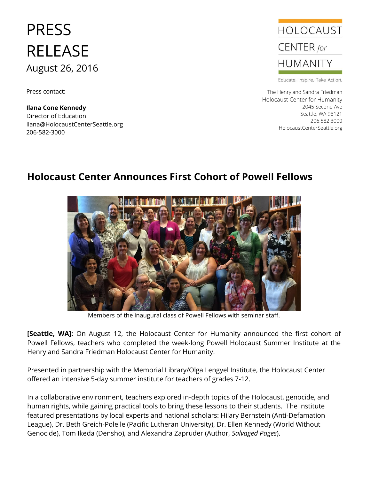# PRESS RELEASE August 26, 2016

Press contact:

**Ilana Cone Kennedy** Director of Education Ilana@HolocaustCenterSeattle.org 206-582-3000



Educate. Inspire. Take Action.

The Henry and Sandra Friedman Holocaust Center for Humanity 2045 Second Ave Seattle, WA 98121 206.582.3000 HolocaustCenterSeattle.org

# **Holocaust Center Announces First Cohort of Powell Fellows**



Members of the inaugural class of Powell Fellows with seminar staff.

**[Seattle, WA]:** On August 12, the Holocaust Center for Humanity announced the first cohort of Powell Fellows, teachers who completed the week-long Powell Holocaust Summer Institute at the Henry and Sandra Friedman Holocaust Center for Humanity.

Presented in partnership with the Memorial Library/Olga Lengyel Institute, the Holocaust Center offered an intensive 5-day summer institute for teachers of grades 7-12.

In a collaborative environment, teachers explored in-depth topics of the Holocaust, genocide, and human rights, while gaining practical tools to bring these lessons to their students. The institute featured presentations by local experts and national scholars: Hilary Bernstein (Anti-Defamation League), Dr. Beth Greich-Polelle (Pacific Lutheran University), Dr. Ellen Kennedy (World Without Genocide), Tom Ikeda (Densho), and Alexandra Zapruder (Author, *Salvaged Pages*).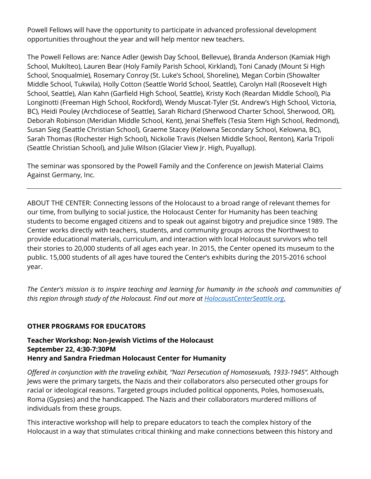Powell Fellows will have the opportunity to participate in advanced professional development opportunities throughout the year and will help mentor new teachers.

The Powell Fellows are: Nance Adler (Jewish Day School, Bellevue), Branda Anderson (Kamiak High School, Mukilteo), Lauren Bear (Holy Family Parish School, Kirkland), Toni Canady (Mount Si High School, Snoqualmie), Rosemary Conroy (St. Luke's School, Shoreline), Megan Corbin (Showalter Middle School, Tukwila), Holly Cotton (Seattle World School, Seattle), Carolyn Hall (Roosevelt High School, Seattle), Alan Kahn (Garfield High School, Seattle), Kristy Koch (Reardan Middle School), Pia Longinotti (Freeman High School, Rockford), Wendy Muscat-Tyler (St. Andrew's High School, Victoria, BC), Heidi Pouley (Archdiocese of Seattle), Sarah Richard (Sherwood Charter School, Sherwood, OR), Deborah Robinson (Meridian Middle School, Kent), Jenai Sheffels (Tesia Stem High School, Redmond), Susan Sieg (Seattle Christian School), Graeme Stacey (Kelowna Secondary School, Kelowna, BC), Sarah Thomas (Rochester High School), Nickolie Travis (Nelsen Middle School, Renton), Karla Tripoli (Seattle Christian School), and Julie Wilson (Glacier View Jr. High, Puyallup).

The seminar was sponsored by the Powell Family and the Conference on Jewish Material Claims Against Germany, Inc.

ABOUT THE CENTER: Connecting lessons of the Holocaust to a broad range of relevant themes for our time, from bullying to social justice, the Holocaust Center for Humanity has been teaching students to become engaged citizens and to speak out against bigotry and prejudice since 1989. The Center works directly with teachers, students, and community groups across the Northwest to provide educational materials, curriculum, and interaction with local Holocaust survivors who tell their stories to 20,000 students of all ages each year. In 2015, the Center opened its museum to the public. 15,000 students of all ages have toured the Center's exhibits during the 2015-2016 school year.

*The Center's mission is to inspire teaching and learning for humanity in the schools and communities of this region through study of the Holocaust. Find out more at [HolocaustCenterSeattle.org.](http://www.holocaustcenterseattle.org/)*

#### **OTHER PROGRAMS FOR EDUCATORS**

**Teacher Workshop: Non-Jewish Victims of the Holocaust September 22, 4:30-7:30PM Henry and Sandra Friedman Holocaust Center for Humanity**

*Offered in conjunction with the traveling exhibit, "Nazi Persecution of Homosexuals, 1933-1945".* Although Jews were the primary targets, the Nazis and their collaborators also persecuted other groups for racial or ideological reasons. Targeted groups included political opponents, Poles, homosexuals, Roma (Gypsies) and the handicapped. The Nazis and their collaborators murdered millions of individuals from these groups.

This interactive workshop will help to prepare educators to teach the complex history of the Holocaust in a way that stimulates critical thinking and make connections between this history and